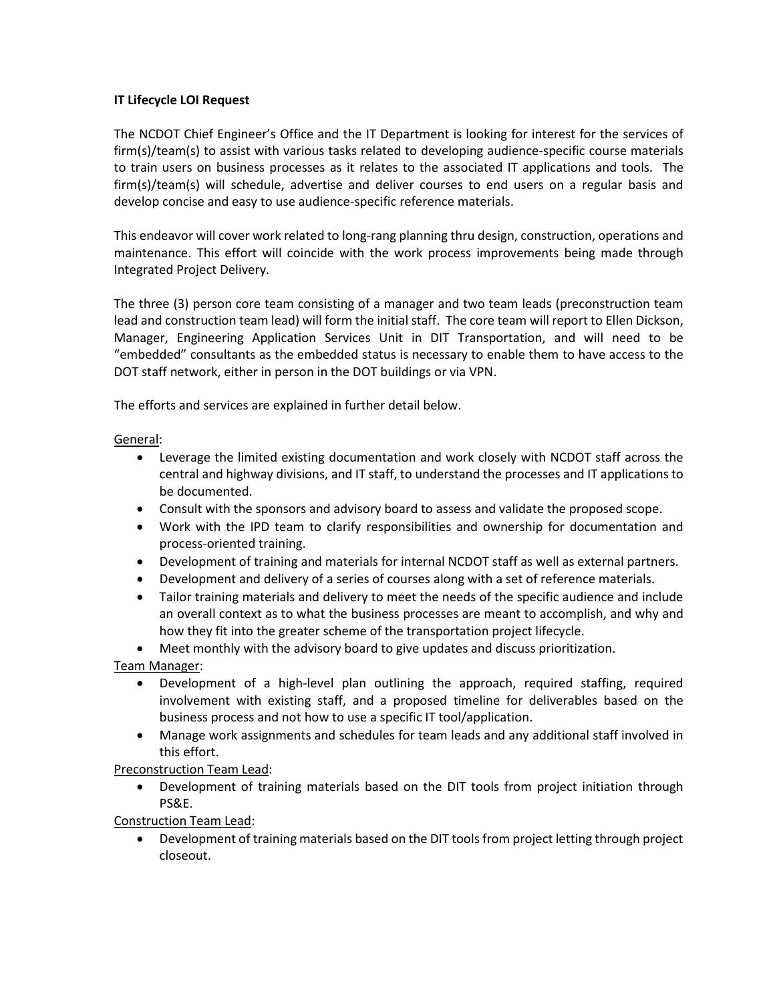## **IT Lifecycle LOI Request**

The NCDOT Chief Engineer's Office and the IT Department is looking for interest for the services of firm(s)/team(s) to assist with various tasks related to developing audience-specific course materials to train users on business processes as it relates to the associated IT applications and tools. The firm(s)/team(s) will schedule, advertise and deliver courses to end users on a regular basis and develop concise and easy to use audience-specific reference materials.

This endeavor will cover work related to long-rang planning thru design, construction, operations and maintenance. This effort will coincide with the work process improvements being made through Integrated Project Delivery.

The three (3) person core team consisting of a manager and two team leads (preconstruction team lead and construction team lead) will form the initial staff. The core team will report to Ellen Dickson, Manager, Engineering Application Services Unit in DIT Transportation, and will need to be "embedded" consultants as the embedded status is necessary to enable them to have access to the DOT staff network, either in person in the DOT buildings or via VPN.

The efforts and services are explained in further detail below.

General:

- Leverage the limited existing documentation and work closely with NCDOT staff across the central and highway divisions, and IT staff, to understand the processes and IT applications to be documented.
- Consult with the sponsors and advisory board to assess and validate the proposed scope.
- Work with the IPD team to clarify responsibilities and ownership for documentation and process-oriented training.
- Development of training and materials for internal NCDOT staff as well as external partners.
- Development and delivery of a series of courses along with a set of reference materials.
- Tailor training materials and delivery to meet the needs of the specific audience and include an overall context as to what the business processes are meant to accomplish, and why and how they fit into the greater scheme of the transportation project lifecycle.
- Meet monthly with the advisory board to give updates and discuss prioritization.

Team Manager:

- Development of a high-level plan outlining the approach, required staffing, required involvement with existing staff, and a proposed timeline for deliverables based on the business process and not how to use a specific IT tool/application.
- Manage work assignments and schedules for team leads and any additional staff involved in this effort.

Preconstruction Team Lead:

• Development of training materials based on the DIT tools from project initiation through PS&E.

Construction Team Lead:

• Development of training materials based on the DIT tools from project letting through project closeout.